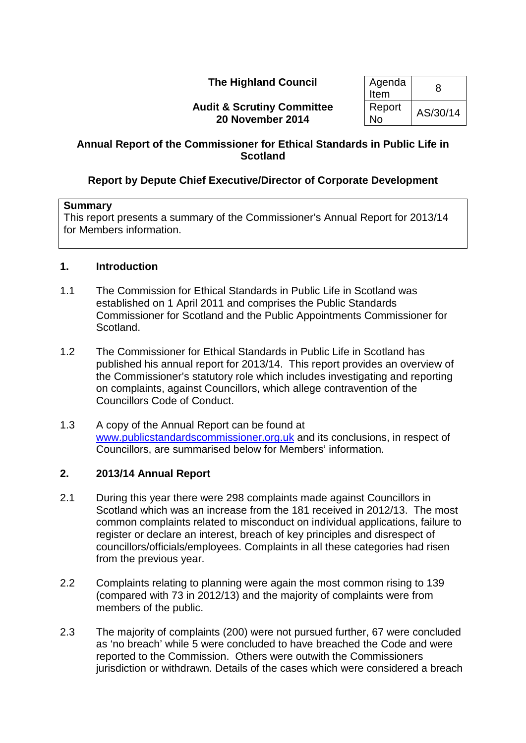# **The Highland Council**

**Audit & Scrutiny Committee 20 November 2014**

| Agenda<br>Item | 8        |
|----------------|----------|
| Report<br>No   | AS/30/14 |

# **Annual Report of the Commissioner for Ethical Standards in Public Life in Scotland**

# **Report by Depute Chief Executive/Director of Corporate Development**

#### **Summary**

This report presents a summary of the Commissioner's Annual Report for 2013/14 for Members information.

### **1. Introduction**

- 1.1 The Commission for Ethical Standards in Public Life in Scotland was established on 1 April 2011 and comprises the Public Standards Commissioner for Scotland and the Public Appointments Commissioner for Scotland.
- 1.2 The Commissioner for Ethical Standards in Public Life in Scotland has published his annual report for 2013/14. This report provides an overview of the Commissioner's statutory role which includes investigating and reporting on complaints, against Councillors, which allege contravention of the Councillors Code of Conduct.
- 1.3 A copy of the Annual Report can be found at [www.publicstandardscommissioner.org.uk](http://www.publicstandardscommissioner.org.uk/) and its conclusions, in respect of Councillors, are summarised below for Members' information.

# **2. 2013/14 Annual Report**

- 2.1 During this year there were 298 complaints made against Councillors in Scotland which was an increase from the 181 received in 2012/13. The most common complaints related to misconduct on individual applications, failure to register or declare an interest, breach of key principles and disrespect of councillors/officials/employees. Complaints in all these categories had risen from the previous year.
- 2.2 Complaints relating to planning were again the most common rising to 139 (compared with 73 in 2012/13) and the majority of complaints were from members of the public.
- 2.3 The majority of complaints (200) were not pursued further, 67 were concluded as 'no breach' while 5 were concluded to have breached the Code and were reported to the Commission. Others were outwith the Commissioners jurisdiction or withdrawn. Details of the cases which were considered a breach